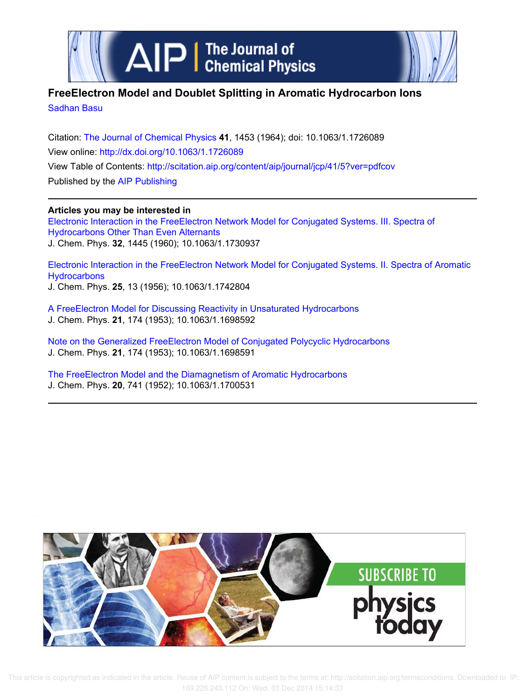



## **FreeElectron Model and Doublet Splitting in Aromatic Hydrocarbon Ions**

Sadhan Basu

Citation: The Journal of Chemical Physics **41**, 1453 (1964); doi: 10.1063/1.1726089 View online: http://dx.doi.org/10.1063/1.1726089 View Table of Contents: http://scitation.aip.org/content/aip/journal/jcp/41/5?ver=pdfcov Published by the AIP Publishing

**Articles you may be interested in** Electronic Interaction in the FreeElectron Network Model for Conjugated Systems. III. Spectra of Hydrocarbons Other Than Even Alternants J. Chem. Phys. **32**, 1445 (1960); 10.1063/1.1730937

Electronic Interaction in the FreeElectron Network Model for Conjugated Systems. II. Spectra of Aromatic **Hydrocarbons** J. Chem. Phys. **25**, 13 (1956); 10.1063/1.1742804

A FreeElectron Model for Discussing Reactivity in Unsaturated Hydrocarbons J. Chem. Phys. **21**, 174 (1953); 10.1063/1.1698592

Note on the Generalized FreeElectron Model of Conjugated Polycyclic Hydrocarbons J. Chem. Phys. **21**, 174 (1953); 10.1063/1.1698591

The FreeElectron Model and the Diamagnetism of Aromatic Hydrocarbons J. Chem. Phys. **20**, 741 (1952); 10.1063/1.1700531



 This article is copyrighted as indicated in the article. Reuse of AIP content is subject to the terms at: http://scitation.aip.org/termsconditions. Downloaded to IP: 169.226.243.112 On: Wed, 03 Dec 2014 15:14:33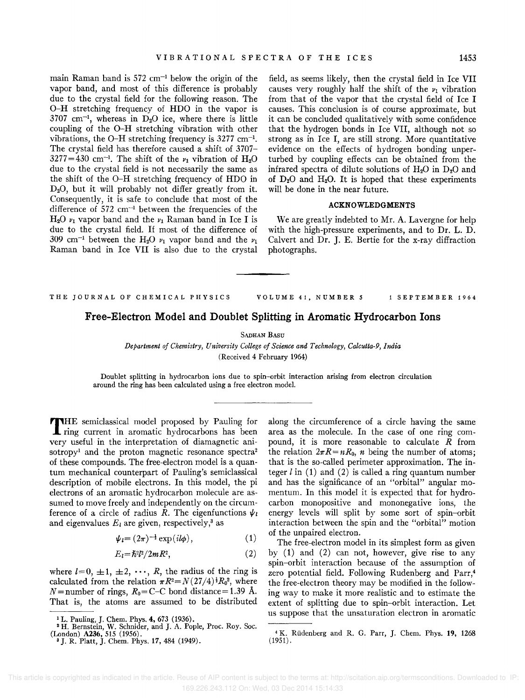main Raman band is  $572 \text{ cm}^{-1}$  below the origin of the vapor band, and most of this difference is probably due to the crystal field for the following reason. The O-H stretching frequency of HDO in the vapor is  $3707$  cm<sup>-1</sup>, whereas in D<sub>2</sub>O ice, where there is little coupling of the O-H stretching vibration with other vibrations, the O-H stretching frequency is  $3277 \text{ cm}^{-1}$ . The crystal field has therefore caused a shift of 3707-  $3277 = 430$  cm<sup>-1</sup>. The shift of the  $\nu_1$  vibration of H<sub>2</sub>O due to the crystal field is not necessarily the same as the shift of the O-H stretching frequency of HDO in D20, but it will probably not differ greatly from it. Consequently, it is safe to conclude that most of the difference of  $572 \text{ cm}^{-1}$  between the frequencies of the  $H_2O$   $\nu_1$  vapor band and the  $\nu_1$  Raman band in Ice I is due to the crystal field. If most of the difference of 309 cm<sup>-1</sup> between the H<sub>2</sub>O  $\nu_1$  vapor band and the  $\nu_1$ Raman band in Ice VII is also due to the crystal

field, as seems likely, then the crystal field in Ice VII causes very roughly half the shift of the  $\nu_1$  vibration from that of the vapor that the crystal field of Ice I causes. This conclusion is of course approximate, but it can be concluded qualitatively with some confidence that the hydrogen bonds in Ice VII, although not so strong as in Ice I, are still strong. More quantitative evidence on the effects of hydrogen bonding unperturbed by coupling effects can be obtained from the infrared spectra of dilute solutions of  $H_2O$  in  $D_2O$  and of  $D_2O$  and  $H_2O$ . It is hoped that these experiments will be done in the near future.

## ACKNOWLEDGMENTS

We are greatly indebted to Mr. A. Lavergne for help with the high-pressure experiments, and to Dr. L. D. Calvert and Dr. J. E. Bertie for the x-ray diffraction photographs.

THE JOURNAL OF CHEMICAL PHYSICS VOLUME 41, NUMBER 5 1 SEPTEMBER 1964

## Free-Electron Model and Doublet Splitting in Aromatic Hydrocarbon Ions

## SADHAN BAsu

*Department of Chemistry, University College of Science and Technology, Calcutta-9, India*  (Received 4 February 1964)

Doublet splitting in hydrocarbon ions due to spin-orbit interaction arising from electron circulation around the ring has been calculated using a free electron model.

THE semiclassical model proposed by Pauling for<br>
ring current in aromatic hydrocarbons has been **THE** semiclassical model proposed by Pauling for very useful in the interpretation of diamagnetic anisotropy<sup>1</sup> and the proton magnetic resonance spectra<sup>2</sup> of these compounds. The free-electron model is a quantum mechanical counterpart of Pauling's semiclassical description of mobile electrons. In this model, the pi electrons of an aromatic hydrocarbon molecule are assumed to move freely and independently on the circumference of a circle of radius *R*. The eigenfunctions  $\psi_l$ and eigenvalues  $E_l$  are given, respectively,<sup>3</sup> as

$$
\psi_i = (2\pi)^{-\frac{1}{2}} \exp(il\phi), \qquad (1)
$$

$$
E_l = \hbar^2 l^2 / 2mR^2, \tag{2}
$$

where  $l=0, \pm 1, \pm 2, \cdots, R$ , the radius of the ring is calculated from the relation  $\pi R^2 = N(27/4)^3 R_0^2$ , where  $N =$ number of rings,  $R_0 = C - C$  bond distance = 1.39 Å. That is, the atoms are assumed to be distributed along the circumference of a circle having the same area as the molecule. In the case of one ring compound, it is more reasonable to calculate *R* from the relation  $2\pi R = nR_0$ , *n* being the number of atoms; that is the so-called perimeter approximation. The integer  $l$  in (1) and (2) is called a ring quantum number and has the significance of an "orbital" angular momentum. In this model it is expected that for hydrocarbon monopositive and mononegative ions, the energy levels will split by some sort of spin-orbit interaction between the spin and the "orbital" motion of the unpaired electron.

The free-electron model in its simplest form as given by  $(1)$  and  $(2)$  can not, however, give rise to any spin-orbit interaction because of the assumption of zero potential field. Following Rudenberg and Parr,4 the free-electron theory may be modified in the following way to make it more realistic and to estimate the extent of splitting due to spin-orbit interaction. Let us suppose that the unsaturation electron in aromatic

<sup>&</sup>lt;sup>1</sup> L. Pauling, J. Chem. Phys. **4,** 673 (1936).<br>
<sup>2</sup> H. Bernstein, W. Schnider, and J. A. Pople, Proc. Roy. Soc. (London) A236, 515 (1956).<br>
<sup>3</sup> J. R. Platt, J. Chem. Phys. 17, 484 (1949).

<sup>&</sup>lt;sup>4</sup> K. Rüdenberg and R. G. Parr, J. Chem. Phys. 19, 1268 (1951).